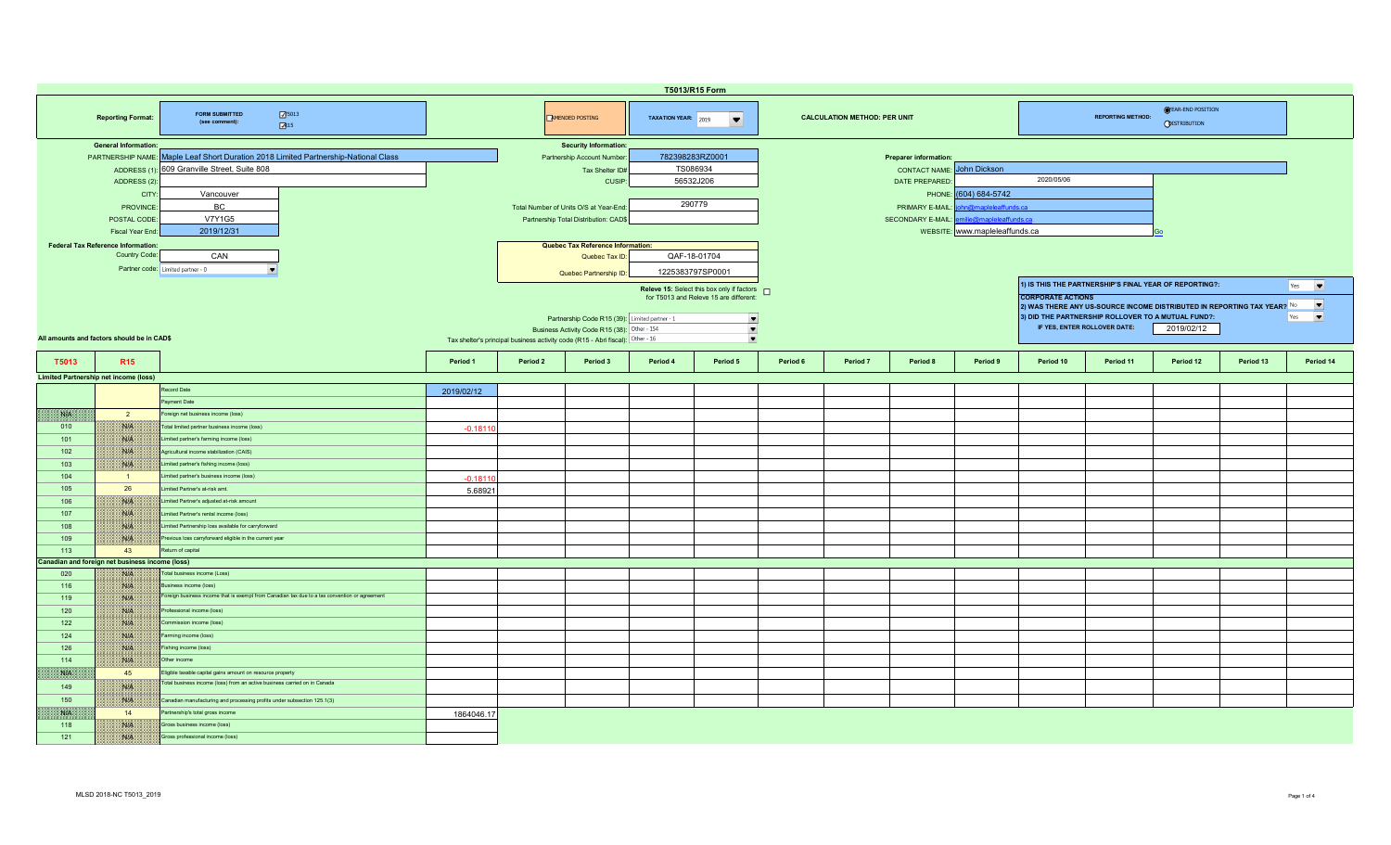|                                                                                              | T5013/R15 Form                                  |                                                                                                                       |            |                                                                                |                                                                                                |                  |                                                                                        |          |          |                              |                                |                          |                                                                               |                                                                                                                                        |           |                                 |  |  |
|----------------------------------------------------------------------------------------------|-------------------------------------------------|-----------------------------------------------------------------------------------------------------------------------|------------|--------------------------------------------------------------------------------|------------------------------------------------------------------------------------------------|------------------|----------------------------------------------------------------------------------------|----------|----------|------------------------------|--------------------------------|--------------------------|-------------------------------------------------------------------------------|----------------------------------------------------------------------------------------------------------------------------------------|-----------|---------------------------------|--|--|
| 75013<br><b>FORM SUBMITTED</b><br><b>Reporting Format:</b><br>(see comment):<br>$\sqrt{3}15$ |                                                 |                                                                                                                       |            |                                                                                | <b>EMENDED POSTING</b>                                                                         |                  | TAXATION YEAR: 2019<br><b>CALCULATION METHOD: PER UNIT</b><br>$\overline{\phantom{a}}$ |          |          |                              |                                |                          | <b>OYEAR-END POSITION</b><br><b>REPORTING METHOD:</b><br><b>ODISTRIBUTION</b> |                                                                                                                                        |           |                                 |  |  |
|                                                                                              | <b>General Information:</b>                     |                                                                                                                       |            |                                                                                | <b>Security Information:</b>                                                                   |                  |                                                                                        |          |          |                              |                                |                          |                                                                               |                                                                                                                                        |           |                                 |  |  |
|                                                                                              |                                                 | PARTNERSHIP NAME: Maple Leaf Short Duration 2018 Limited Partnership-National Class                                   |            |                                                                                | Partnership Account Number:                                                                    | 782398283RZ0001  |                                                                                        |          |          | <b>Preparer information:</b> |                                |                          |                                                                               |                                                                                                                                        |           |                                 |  |  |
|                                                                                              |                                                 | ADDRESS (1): 609 Granville Street, Suite 808                                                                          |            |                                                                                | Tax Shelter ID#                                                                                | TS086934         |                                                                                        |          |          | <b>CONTACT NAME:</b>         | John Dickson                   | 2020/05/06               |                                                                               |                                                                                                                                        |           |                                 |  |  |
|                                                                                              | ADDRESS (2):                                    |                                                                                                                       |            |                                                                                | CUSIP:                                                                                         | 56532J206        |                                                                                        |          |          | DATE PREPARED:               |                                |                          |                                                                               |                                                                                                                                        |           |                                 |  |  |
|                                                                                              | CITY                                            | Vancouver                                                                                                             |            |                                                                                |                                                                                                |                  |                                                                                        |          |          |                              | PHONE: (604) 684-5742          |                          |                                                                               |                                                                                                                                        |           |                                 |  |  |
|                                                                                              | <b>PROVINCE</b>                                 | BC                                                                                                                    |            |                                                                                | Total Number of Units O/S at Year-End:                                                         | 290779           |                                                                                        |          |          | PRIMARY E-MAIL               | <b>@manleleaffunds.ca</b>      |                          |                                                                               |                                                                                                                                        |           |                                 |  |  |
|                                                                                              | POSTAL CODE                                     | <b>V7Y1G5</b>                                                                                                         |            |                                                                                | Partnership Total Distribution: CAD\$                                                          |                  |                                                                                        |          |          | <b>SECONDARY E-MAIL:</b>     | hilie@mapleleaffunds.ca        |                          |                                                                               |                                                                                                                                        |           |                                 |  |  |
|                                                                                              | Fiscal Year End                                 | 2019/12/31                                                                                                            |            |                                                                                |                                                                                                |                  |                                                                                        |          |          |                              | WEBSITE: www.mapleleaffunds.ca |                          |                                                                               |                                                                                                                                        |           |                                 |  |  |
|                                                                                              | <b>Federal Tax Reference Information:</b>       |                                                                                                                       |            |                                                                                | Quebec Tax Reference Information:                                                              |                  |                                                                                        |          |          |                              |                                |                          |                                                                               |                                                                                                                                        |           |                                 |  |  |
|                                                                                              | Country Code:                                   | CAN                                                                                                                   |            |                                                                                | Quebec Tax ID:                                                                                 | QAF-18-01704     |                                                                                        |          |          |                              |                                |                          |                                                                               |                                                                                                                                        |           |                                 |  |  |
|                                                                                              |                                                 | Partner code: Limited partner - 0<br>$\overline{\phantom{a}}$                                                         |            |                                                                                | Quebec Partnership ID:                                                                         | 1225383797SP0001 |                                                                                        |          |          |                              |                                |                          |                                                                               |                                                                                                                                        |           |                                 |  |  |
|                                                                                              |                                                 |                                                                                                                       |            |                                                                                |                                                                                                |                  | Releve 15: Select this box only if factors n                                           |          |          |                              |                                |                          |                                                                               | 1) IS THIS THE PARTNERSHIP'S FINAL YEAR OF REPORTING?:                                                                                 |           | Yes<br>$\overline{\phantom{a}}$ |  |  |
|                                                                                              |                                                 |                                                                                                                       |            |                                                                                |                                                                                                |                  | for T5013 and Releve 15 are different:                                                 |          |          |                              |                                | <b>CORPORATE ACTIONS</b> |                                                                               |                                                                                                                                        |           | $\blacksquare$                  |  |  |
|                                                                                              |                                                 |                                                                                                                       |            |                                                                                |                                                                                                |                  |                                                                                        |          |          |                              |                                |                          |                                                                               | 2) WAS THERE ANY US-SOURCE INCOME DISTRIBUTED IN REPORTING TAX YEAR? $^{\sf No}$<br>3) DID THE PARTNERSHIP ROLLOVER TO A MUTUAL FUND?: |           | $\blacktriangledown$<br>Yes     |  |  |
|                                                                                              |                                                 |                                                                                                                       |            |                                                                                | Partnership Code R15 (39): Limited partner - 1<br>Business Activity Code R15 (38): Other - 154 |                  | $\overline{\phantom{a}}$<br>$\blacksquare$                                             |          |          |                              |                                |                          | IF YES, ENTER ROLLOVER DATE:                                                  | 2019/02/12                                                                                                                             |           |                                 |  |  |
|                                                                                              | All amounts and factors should be in CAD\$      |                                                                                                                       |            | Tax shelter's principal business activity code (R15 - Abri fiscal): Other - 16 |                                                                                                |                  | $\blacktriangledown$                                                                   |          |          |                              |                                |                          |                                                                               |                                                                                                                                        |           |                                 |  |  |
|                                                                                              |                                                 |                                                                                                                       |            |                                                                                |                                                                                                |                  |                                                                                        |          |          |                              |                                |                          |                                                                               |                                                                                                                                        |           |                                 |  |  |
| T5013                                                                                        | R <sub>15</sub>                                 |                                                                                                                       | Period 1   | Period 2                                                                       | Period 3                                                                                       | Period 4         | Period 5                                                                               | Period 6 | Period 7 | Period 8                     | Period 9                       | Period 10                | Period 11                                                                     | Period 12                                                                                                                              | Period 13 | Period 14                       |  |  |
|                                                                                              | <b>Limited Partnership net income (loss)</b>    |                                                                                                                       |            |                                                                                |                                                                                                |                  |                                                                                        |          |          |                              |                                |                          |                                                                               |                                                                                                                                        |           |                                 |  |  |
|                                                                                              |                                                 | Record Date                                                                                                           | 2019/02/12 |                                                                                |                                                                                                |                  |                                                                                        |          |          |                              |                                |                          |                                                                               |                                                                                                                                        |           |                                 |  |  |
|                                                                                              |                                                 | Payment Date                                                                                                          |            |                                                                                |                                                                                                |                  |                                                                                        |          |          |                              |                                |                          |                                                                               |                                                                                                                                        |           |                                 |  |  |
| NA                                                                                           | $\overline{2}$                                  | Foreign net business income (loss)                                                                                    |            |                                                                                |                                                                                                |                  |                                                                                        |          |          |                              |                                |                          |                                                                               |                                                                                                                                        |           |                                 |  |  |
| 010                                                                                          | NIA                                             | Total limited partner business income (loss)                                                                          | $-0.1811$  |                                                                                |                                                                                                |                  |                                                                                        |          |          |                              |                                |                          |                                                                               |                                                                                                                                        |           |                                 |  |  |
| 101                                                                                          | WA                                              | Limited partner's farming income (loss)                                                                               |            |                                                                                |                                                                                                |                  |                                                                                        |          |          |                              |                                |                          |                                                                               |                                                                                                                                        |           |                                 |  |  |
| 102                                                                                          | WE                                              | Agricultural income stabilization (CAIS)                                                                              |            |                                                                                |                                                                                                |                  |                                                                                        |          |          |                              |                                |                          |                                                                               |                                                                                                                                        |           |                                 |  |  |
| 103                                                                                          | NG                                              | Limited partner's fishing income (loss)                                                                               |            |                                                                                |                                                                                                |                  |                                                                                        |          |          |                              |                                |                          |                                                                               |                                                                                                                                        |           |                                 |  |  |
| 104                                                                                          | $\overline{1}$                                  | imited partner's business income (loss)                                                                               | $-0.1811$  |                                                                                |                                                                                                |                  |                                                                                        |          |          |                              |                                |                          |                                                                               |                                                                                                                                        |           |                                 |  |  |
| 105                                                                                          | 26                                              | imited Partner's at-risk amt.                                                                                         | 5.68921    |                                                                                |                                                                                                |                  |                                                                                        |          |          |                              |                                |                          |                                                                               |                                                                                                                                        |           |                                 |  |  |
| 106                                                                                          | W                                               | imited Partner's adjusted at-risk amount                                                                              |            |                                                                                |                                                                                                |                  |                                                                                        |          |          |                              |                                |                          |                                                                               |                                                                                                                                        |           |                                 |  |  |
| 107                                                                                          | NIK                                             | imited Partner's rental income (loss)                                                                                 |            |                                                                                |                                                                                                |                  |                                                                                        |          |          |                              |                                |                          |                                                                               |                                                                                                                                        |           |                                 |  |  |
| 108                                                                                          | NIA                                             | Limited Partnership loss available for carryforward                                                                   |            |                                                                                |                                                                                                |                  |                                                                                        |          |          |                              |                                |                          |                                                                               |                                                                                                                                        |           |                                 |  |  |
| 109                                                                                          | <b>WHEN</b>                                     | Previous loss carryforward eligible in the current year                                                               |            |                                                                                |                                                                                                |                  |                                                                                        |          |          |                              |                                |                          |                                                                               |                                                                                                                                        |           |                                 |  |  |
| 113                                                                                          | 43                                              | Return of capital                                                                                                     |            |                                                                                |                                                                                                |                  |                                                                                        |          |          |                              |                                |                          |                                                                               |                                                                                                                                        |           |                                 |  |  |
|                                                                                              | Canadian and foreign net business income (loss) | Fotal business income (Loss)                                                                                          |            |                                                                                |                                                                                                |                  |                                                                                        |          |          |                              |                                |                          |                                                                               |                                                                                                                                        |           |                                 |  |  |
| 020                                                                                          | NIK                                             |                                                                                                                       |            |                                                                                |                                                                                                |                  |                                                                                        |          |          |                              |                                |                          |                                                                               |                                                                                                                                        |           |                                 |  |  |
| 116                                                                                          | NA                                              | siness income (loss)<br>Foreign business income that is exempt from Canadian tax due to a tax convention or agreement |            |                                                                                |                                                                                                |                  |                                                                                        |          |          |                              |                                |                          |                                                                               |                                                                                                                                        |           |                                 |  |  |
| 119<br>120                                                                                   | W<br><b>SIE</b>                                 | Professional income (loss)                                                                                            |            |                                                                                |                                                                                                |                  |                                                                                        |          |          |                              |                                |                          |                                                                               |                                                                                                                                        |           |                                 |  |  |
|                                                                                              |                                                 |                                                                                                                       |            |                                                                                |                                                                                                |                  |                                                                                        |          |          |                              |                                |                          |                                                                               |                                                                                                                                        |           |                                 |  |  |
| 122<br>124                                                                                   | NIA<br>NIA                                      | Commission income (loss)<br>Farming income (loss)                                                                     |            |                                                                                |                                                                                                |                  |                                                                                        |          |          |                              |                                |                          |                                                                               |                                                                                                                                        |           |                                 |  |  |
|                                                                                              |                                                 |                                                                                                                       |            |                                                                                |                                                                                                |                  |                                                                                        |          |          |                              |                                |                          |                                                                               |                                                                                                                                        |           |                                 |  |  |
| 126                                                                                          | Nitk                                            | Fishing income (loss)                                                                                                 |            |                                                                                |                                                                                                |                  |                                                                                        |          |          |                              |                                |                          |                                                                               |                                                                                                                                        |           |                                 |  |  |
| 114<br><b>SALA</b>                                                                           | Nich<br>45                                      | Other income<br>Eligible taxable capital gains amount on resource property                                            |            |                                                                                |                                                                                                |                  |                                                                                        |          |          |                              |                                |                          |                                                                               |                                                                                                                                        |           |                                 |  |  |
|                                                                                              |                                                 | l'otal business income (loss) from an active business carried on in Canada                                            |            |                                                                                |                                                                                                |                  |                                                                                        |          |          |                              |                                |                          |                                                                               |                                                                                                                                        |           |                                 |  |  |
| 149                                                                                          | NIA                                             |                                                                                                                       |            |                                                                                |                                                                                                |                  |                                                                                        |          |          |                              |                                |                          |                                                                               |                                                                                                                                        |           |                                 |  |  |
| 150                                                                                          | W                                               | Canadian manufacturing and processing profits under subsection 125.1(3)                                               |            |                                                                                |                                                                                                |                  |                                                                                        |          |          |                              |                                |                          |                                                                               |                                                                                                                                        |           |                                 |  |  |
| NP                                                                                           | 14                                              | Partnership's total gross income                                                                                      | 1864046.17 |                                                                                |                                                                                                |                  |                                                                                        |          |          |                              |                                |                          |                                                                               |                                                                                                                                        |           |                                 |  |  |
| 118                                                                                          | NIA                                             | Gross business income (loss)                                                                                          |            |                                                                                |                                                                                                |                  |                                                                                        |          |          |                              |                                |                          |                                                                               |                                                                                                                                        |           |                                 |  |  |
| 121                                                                                          | WA                                              | Gross professional income (loss)                                                                                      |            |                                                                                |                                                                                                |                  |                                                                                        |          |          |                              |                                |                          |                                                                               |                                                                                                                                        |           |                                 |  |  |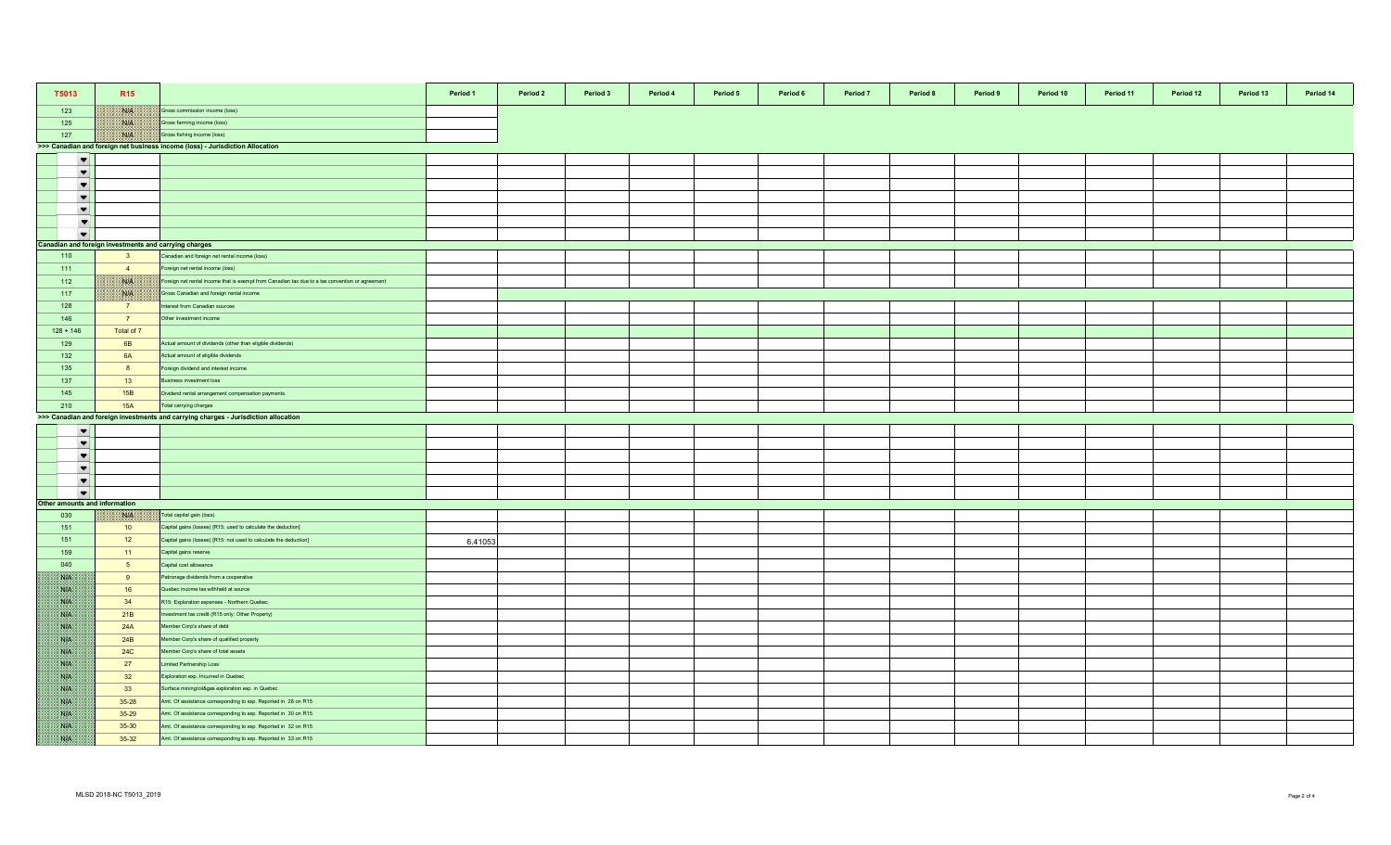| T5013                                                 | R <sub>15</sub>                                       |                                                                                                 | Period 1 | Period 2 | Period 3 | Period 4 | Period 5 | Period 6 | Period 7 | Period 8 | Period 9 | Period 10 | Period 11 | Period 12 | Period 13 | Period 14 |
|-------------------------------------------------------|-------------------------------------------------------|-------------------------------------------------------------------------------------------------|----------|----------|----------|----------|----------|----------|----------|----------|----------|-----------|-----------|-----------|-----------|-----------|
| 123                                                   | WK                                                    | Gross commission income (loss)                                                                  |          |          |          |          |          |          |          |          |          |           |           |           |           |           |
| 125                                                   | <b>NIA</b>                                            | Gross farming income (loss)                                                                     |          |          |          |          |          |          |          |          |          |           |           |           |           |           |
| 127                                                   | NIA                                                   | Gross fishing income (loss)                                                                     |          |          |          |          |          |          |          |          |          |           |           |           |           |           |
|                                                       |                                                       | >>> Canadian and foreign net business income (loss) - Jurisdiction Allocation                   |          |          |          |          |          |          |          |          |          |           |           |           |           |           |
| $\blacktriangledown$                                  |                                                       |                                                                                                 |          |          |          |          |          |          |          |          |          |           |           |           |           |           |
| $\blacktriangledown$                                  |                                                       |                                                                                                 |          |          |          |          |          |          |          |          |          |           |           |           |           |           |
| $\blacktriangledown$                                  |                                                       |                                                                                                 |          |          |          |          |          |          |          |          |          |           |           |           |           |           |
| $\blacktriangledown$                                  |                                                       |                                                                                                 |          |          |          |          |          |          |          |          |          |           |           |           |           |           |
| $\blacktriangledown$                                  |                                                       |                                                                                                 |          |          |          |          |          |          |          |          |          |           |           |           |           |           |
| $\blacktriangledown$                                  |                                                       |                                                                                                 |          |          |          |          |          |          |          |          |          |           |           |           |           |           |
| $\blacktriangledown$                                  |                                                       |                                                                                                 |          |          |          |          |          |          |          |          |          |           |           |           |           |           |
|                                                       | Canadian and foreign investments and carrying charges |                                                                                                 |          |          |          |          |          |          |          |          |          |           |           |           |           |           |
| 110                                                   | $\overline{\mathbf{3}}$                               | Canadian and foreign net rental income (loss)                                                   |          |          |          |          |          |          |          |          |          |           |           |           |           |           |
| 111                                                   | $\overline{4}$                                        | Foreign net rental income (loss)                                                                |          |          |          |          |          |          |          |          |          |           |           |           |           |           |
| 112                                                   | <b>NB</b>                                             | Foreign net rental income that is exempt from Canadian tax due to a tax convention or agreement |          |          |          |          |          |          |          |          |          |           |           |           |           |           |
| 117                                                   | NIB                                                   | Gross Canadian and foreign rental income                                                        |          |          |          |          |          |          |          |          |          |           |           |           |           |           |
| 128                                                   | $\overline{7}$                                        | nterest from Canadian sources                                                                   |          |          |          |          |          |          |          |          |          |           |           |           |           |           |
| 146                                                   | $\overline{7}$                                        | Other investment income                                                                         |          |          |          |          |          |          |          |          |          |           |           |           |           |           |
| $128 + 146$                                           | Total of 7                                            |                                                                                                 |          |          |          |          |          |          |          |          |          |           |           |           |           |           |
| 129                                                   | 6 <b>B</b>                                            | Actual amount of dividends (other than eligible dividends)                                      |          |          |          |          |          |          |          |          |          |           |           |           |           |           |
| 132                                                   | 6A                                                    | Actual amount of eligible dividends                                                             |          |          |          |          |          |          |          |          |          |           |           |           |           |           |
| 135                                                   | 8                                                     | Foreign dividend and interest income                                                            |          |          |          |          |          |          |          |          |          |           |           |           |           |           |
| 137                                                   | 13                                                    | susiness investment loss                                                                        |          |          |          |          |          |          |          |          |          |           |           |           |           |           |
| 145                                                   | 15B                                                   | Dividend rental arrangement compensation payments                                               |          |          |          |          |          |          |          |          |          |           |           |           |           |           |
| 210                                                   | 15A                                                   | Total carrying charges                                                                          |          |          |          |          |          |          |          |          |          |           |           |           |           |           |
|                                                       |                                                       | >>> Canadian and foreign investments and carrying charges - Jurisdiction allocation             |          |          |          |          |          |          |          |          |          |           |           |           |           |           |
| $\blacktriangledown$                                  |                                                       |                                                                                                 |          |          |          |          |          |          |          |          |          |           |           |           |           |           |
| $\blacktriangledown$                                  |                                                       |                                                                                                 |          |          |          |          |          |          |          |          |          |           |           |           |           |           |
| $\blacktriangledown$                                  |                                                       |                                                                                                 |          |          |          |          |          |          |          |          |          |           |           |           |           |           |
| $\blacktriangledown$                                  |                                                       |                                                                                                 |          |          |          |          |          |          |          |          |          |           |           |           |           |           |
|                                                       |                                                       |                                                                                                 |          |          |          |          |          |          |          |          |          |           |           |           |           |           |
| $\blacktriangledown$                                  |                                                       |                                                                                                 |          |          |          |          |          |          |          |          |          |           |           |           |           |           |
| $\blacktriangledown$<br>Other amounts and information |                                                       |                                                                                                 |          |          |          |          |          |          |          |          |          |           |           |           |           |           |
| 030                                                   | NBA.                                                  | Total capital gain (loss)                                                                       |          |          |          |          |          |          |          |          |          |           |           |           |           |           |
| 151                                                   | 10                                                    | Capital gains (losses) [R15: used to calculate the deduction]                                   |          |          |          |          |          |          |          |          |          |           |           |           |           |           |
| 151                                                   | 12                                                    | Capital gains (losses) [R15: not used to calculate the deduction]                               |          |          |          |          |          |          |          |          |          |           |           |           |           |           |
| 159                                                   | 11                                                    | Capital gains reserve                                                                           | 6.41053  |          |          |          |          |          |          |          |          |           |           |           |           |           |
| 040                                                   | 5 <sub>5</sub>                                        | Capital cost allowance                                                                          |          |          |          |          |          |          |          |          |          |           |           |           |           |           |
| <b>SOF</b>                                            | 9                                                     | Patronage dividends from a cooperative                                                          |          |          |          |          |          |          |          |          |          |           |           |           |           |           |
| NB                                                    | 16                                                    | Quebec income tax withheld at source                                                            |          |          |          |          |          |          |          |          |          |           |           |           |           |           |
| WB.                                                   | 34                                                    | R15: Exploration expenses - Northern Quebec                                                     |          |          |          |          |          |          |          |          |          |           |           |           |           |           |
| <b>Bilb</b>                                           | 21B                                                   |                                                                                                 |          |          |          |          |          |          |          |          |          |           |           |           |           |           |
|                                                       |                                                       | nvestment tax credit (R15 only: Other Property)                                                 |          |          |          |          |          |          |          |          |          |           |           |           |           |           |
| <b>BATE</b>                                           | 24A                                                   | Member Corp's share of debt                                                                     |          |          |          |          |          |          |          |          |          |           |           |           |           |           |
| 88. PA                                                | 24B                                                   | lember Corp's share of qualified property                                                       |          |          |          |          |          |          |          |          |          |           |           |           |           |           |
| NG PA                                                 | <b>24C</b>                                            | fember Corp's share of total assets                                                             |          |          |          |          |          |          |          |          |          |           |           |           |           |           |
| <b>SIE</b>                                            | 27                                                    | imited Partnership Loss                                                                         |          |          |          |          |          |          |          |          |          |           |           |           |           |           |
| SVN.                                                  | 32                                                    | Exploration exp. Incurred in Quebec                                                             |          |          |          |          |          |          |          |          |          |           |           |           |           |           |
| NIA                                                   | 33                                                    | Surface mining/oil&gas exploration exp. in Quebec                                               |          |          |          |          |          |          |          |          |          |           |           |           |           |           |
| WB.                                                   | 35-28                                                 | Amt. Of assistance corresponding to exp. Reported in 28 on R15                                  |          |          |          |          |          |          |          |          |          |           |           |           |           |           |
| 38.15                                                 | $35 - 29$                                             | Amt. Of assistance corresponding to exp. Reported in 30 on R15                                  |          |          |          |          |          |          |          |          |          |           |           |           |           |           |
| ssa.                                                  | 35-30                                                 | Amt. Of assistance corresponding to exp. Reported in 32 on R15                                  |          |          |          |          |          |          |          |          |          |           |           |           |           |           |
| 88. PA                                                | $35-32$                                               | Amt. Of assistance corresponding to exp. Reported in 33 on R15                                  |          |          |          |          |          |          |          |          |          |           |           |           |           |           |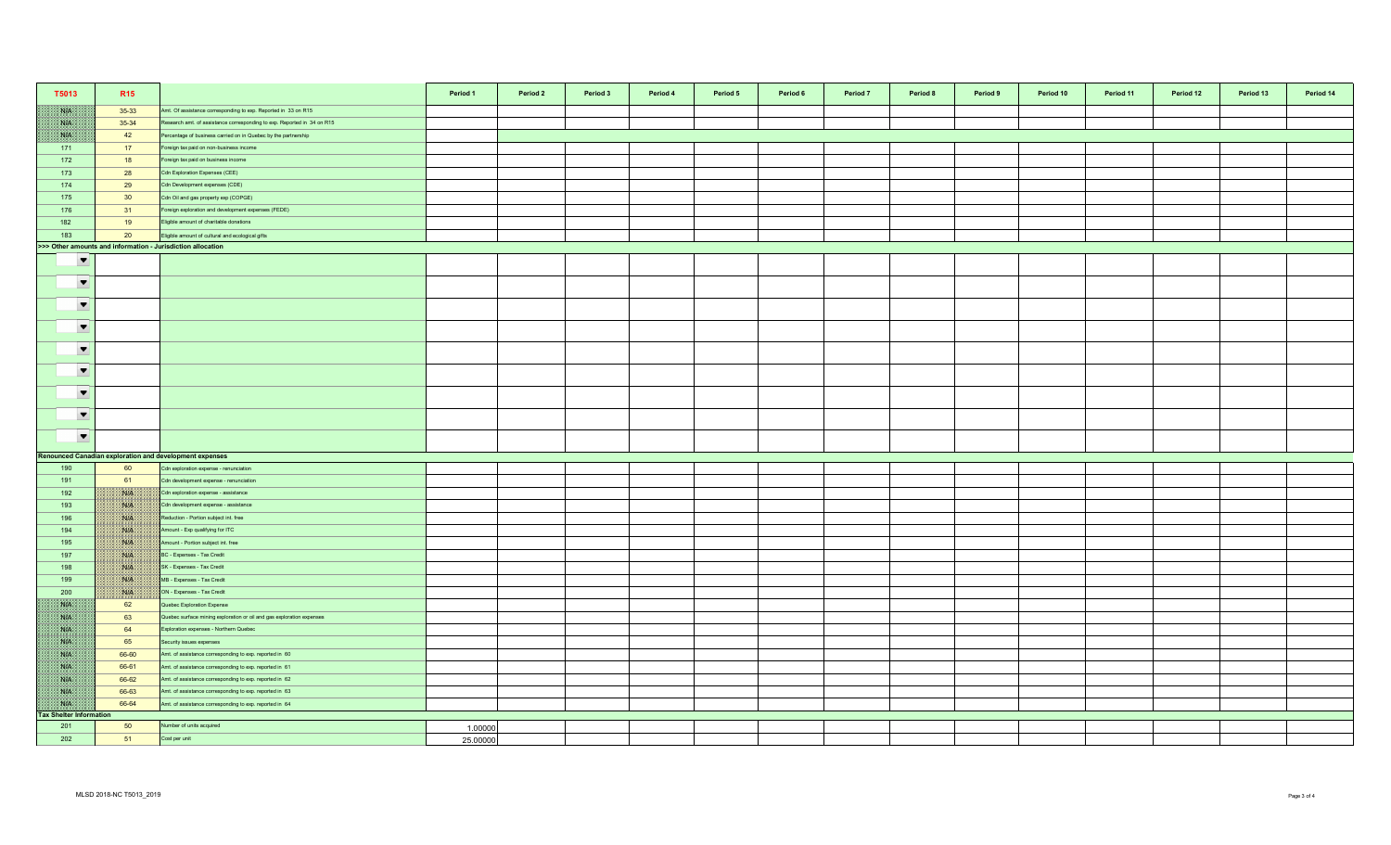| T5013                          | R <sub>15</sub>                                             |                                                                         | Period 1 | Period 2 | Period 3 | Period 4 | Period 5 | Period 6 | Period 7 | Period 8 | Period 9 | Period 10 | Period 11 | Period 12 | Period 13 | Period 14 |
|--------------------------------|-------------------------------------------------------------|-------------------------------------------------------------------------|----------|----------|----------|----------|----------|----------|----------|----------|----------|-----------|-----------|-----------|-----------|-----------|
| NK                             | 35-33                                                       | Amt. Of assistance corresponding to exp. Reported in 33 on R15          |          |          |          |          |          |          |          |          |          |           |           |           |           |           |
| WK                             | 35-34                                                       | Research amt. of assistance corresponding to exp. Reported in 34 on R15 |          |          |          |          |          |          |          |          |          |           |           |           |           |           |
| NB                             | 42                                                          | Percentage of business carried on in Quebec by the partnership          |          |          |          |          |          |          |          |          |          |           |           |           |           |           |
| 171                            | 17                                                          | Foreign tax paid on non-business income                                 |          |          |          |          |          |          |          |          |          |           |           |           |           |           |
| 172                            | 18                                                          | Foreign tax paid on business income                                     |          |          |          |          |          |          |          |          |          |           |           |           |           |           |
| 173                            | 28                                                          | Cdn Exploration Expenses (CEE)                                          |          |          |          |          |          |          |          |          |          |           |           |           |           |           |
| 174                            | 29                                                          | Cdn Development expenses (CDE)                                          |          |          |          |          |          |          |          |          |          |           |           |           |           |           |
| 175                            | 30 <sup>°</sup>                                             | Cdn Oil and gas property exp (COPGE)                                    |          |          |          |          |          |          |          |          |          |           |           |           |           |           |
| 176                            | 31                                                          | Foreign exploration and development expenses (FEDE)                     |          |          |          |          |          |          |          |          |          |           |           |           |           |           |
| 182                            | 19                                                          | Eligible amount of charitable donations                                 |          |          |          |          |          |          |          |          |          |           |           |           |           |           |
| 183                            | 20                                                          | Eligible amount of cultural and ecological gifts                        |          |          |          |          |          |          |          |          |          |           |           |           |           |           |
|                                | >>> Other amounts and information - Jurisdiction allocation |                                                                         |          |          |          |          |          |          |          |          |          |           |           |           |           |           |
| $\overline{\phantom{0}}$       |                                                             |                                                                         |          |          |          |          |          |          |          |          |          |           |           |           |           |           |
| $\blacktriangledown$           |                                                             |                                                                         |          |          |          |          |          |          |          |          |          |           |           |           |           |           |
| $\blacktriangledown$           |                                                             |                                                                         |          |          |          |          |          |          |          |          |          |           |           |           |           |           |
| $\blacktriangledown$           |                                                             |                                                                         |          |          |          |          |          |          |          |          |          |           |           |           |           |           |
| $\blacktriangledown$           |                                                             |                                                                         |          |          |          |          |          |          |          |          |          |           |           |           |           |           |
| $\blacktriangledown$           |                                                             |                                                                         |          |          |          |          |          |          |          |          |          |           |           |           |           |           |
| $\blacktriangledown$           |                                                             |                                                                         |          |          |          |          |          |          |          |          |          |           |           |           |           |           |
| $\blacktriangledown$           |                                                             |                                                                         |          |          |          |          |          |          |          |          |          |           |           |           |           |           |
| $\blacktriangledown$           |                                                             |                                                                         |          |          |          |          |          |          |          |          |          |           |           |           |           |           |
|                                |                                                             | <b>Renounced Canadian exploration and development expenses</b>          |          |          |          |          |          |          |          |          |          |           |           |           |           |           |
| 190                            | 60                                                          | Cdn exploration expense - renunciation                                  |          |          |          |          |          |          |          |          |          |           |           |           |           |           |
| 191                            | 61                                                          | Cdn development expense - renunciation                                  |          |          |          |          |          |          |          |          |          |           |           |           |           |           |
| 192                            | 1830er                                                      | Cdn exploration expense - assistance                                    |          |          |          |          |          |          |          |          |          |           |           |           |           |           |
| 193                            | <b>NIA</b>                                                  | Cdn development expense - assistance                                    |          |          |          |          |          |          |          |          |          |           |           |           |           |           |
| 196                            | <b>NIK</b>                                                  | Reduction - Portion subject int. free                                   |          |          |          |          |          |          |          |          |          |           |           |           |           |           |
| 194                            | With                                                        | Amount - Exp qualifying for ITC                                         |          |          |          |          |          |          |          |          |          |           |           |           |           |           |
| 195                            | NIA                                                         | Amount - Portion subject int. free                                      |          |          |          |          |          |          |          |          |          |           |           |           |           |           |
| 197                            | NA                                                          | BC - Expenses - Tax Credit                                              |          |          |          |          |          |          |          |          |          |           |           |           |           |           |
| 198                            | NA                                                          | SK - Expenses - Tax Credit                                              |          |          |          |          |          |          |          |          |          |           |           |           |           |           |
| 199                            | NG PA                                                       | MB - Expenses - Tax Credit                                              |          |          |          |          |          |          |          |          |          |           |           |           |           |           |
| 200                            | W.                                                          | ON - Expenses - Tax Credit                                              |          |          |          |          |          |          |          |          |          |           |           |           |           |           |
| WE                             | 62                                                          | Quebec Exploration Expense                                              |          |          |          |          |          |          |          |          |          |           |           |           |           |           |
| NK                             | 63                                                          | Quebec surface mining exploration or oil and gas exploration expenses   |          |          |          |          |          |          |          |          |          |           |           |           |           |           |
| <b>SAPE</b>                    | 64                                                          | Exploration expenses - Northern Quebec                                  |          |          |          |          |          |          |          |          |          |           |           |           |           |           |
| <b>SALE</b>                    | 65                                                          | Security issues expenses                                                |          |          |          |          |          |          |          |          |          |           |           |           |           |           |
| <b>NIA</b>                     | 66-60                                                       | Amt. of assistance corresponding to exp. reported in 60                 |          |          |          |          |          |          |          |          |          |           |           |           |           |           |
| <b>SALE</b>                    | 66-61                                                       | Amt. of assistance corresponding to exp. reported in 61                 |          |          |          |          |          |          |          |          |          |           |           |           |           |           |
| NK                             | 66-62                                                       | Amt. of assistance corresponding to exp. reported in 62                 |          |          |          |          |          |          |          |          |          |           |           |           |           |           |
| XVI.                           | 66-63                                                       | Amt. of assistance corresponding to exp. reported in 63                 |          |          |          |          |          |          |          |          |          |           |           |           |           |           |
| WE                             | 66-64                                                       | Amt. of assistance corresponding to exp. reported in 64                 |          |          |          |          |          |          |          |          |          |           |           |           |           |           |
| <b>Tax Shelter Information</b> |                                                             |                                                                         |          |          |          |          |          |          |          |          |          |           |           |           |           |           |
| 201                            | 50                                                          | Number of units acquired                                                | 1.00000  |          |          |          |          |          |          |          |          |           |           |           |           |           |
| 202                            | 51                                                          | Cost per unit                                                           | 25,00000 |          |          |          |          |          |          |          |          |           |           |           |           |           |